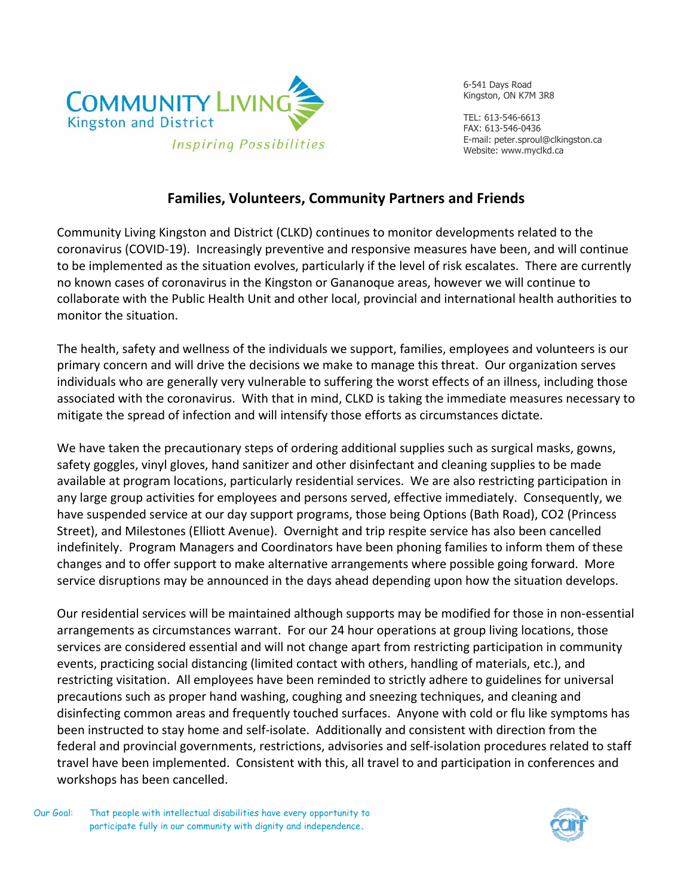

6-541 Days Road Kingston, ON K7M 3R8

TEL: 613-546-6613 FAX: 613-546-0436 E-mail: peter.sproul@clkingston.ca Website: www.myclkd.ca

## **Families, Volunteers, Community Partners and Friends**

Community Living Kingston and District (CLKD) continues to monitor developments related to the coronavirus (COVID‐19). Increasingly preventive and responsive measures have been, and will continue to be implemented as the situation evolves, particularly if the level of risk escalates. There are currently no known cases of coronavirus in the Kingston or Gananoque areas, however we will continue to collaborate with the Public Health Unit and other local, provincial and international health authorities to monitor the situation.

The health, safety and wellness of the individuals we support, families, employees and volunteers is our primary concern and will drive the decisions we make to manage this threat. Our organization serves individuals who are generally very vulnerable to suffering the worst effects of an illness, including those associated with the coronavirus. With that in mind, CLKD is taking the immediate measures necessary to mitigate the spread of infection and will intensify those efforts as circumstances dictate.

We have taken the precautionary steps of ordering additional supplies such as surgical masks, gowns, safety goggles, vinyl gloves, hand sanitizer and other disinfectant and cleaning supplies to be made available at program locations, particularly residential services. We are also restricting participation in any large group activities for employees and persons served, effective immediately. Consequently, we have suspended service at our day support programs, those being Options (Bath Road), CO2 (Princess Street), and Milestones (Elliott Avenue). Overnight and trip respite service has also been cancelled indefinitely. Program Managers and Coordinators have been phoning families to inform them of these changes and to offer support to make alternative arrangements where possible going forward. More service disruptions may be announced in the days ahead depending upon how the situation develops.

Our residential services will be maintained although supports may be modified for those in non‐essential arrangements as circumstances warrant. For our 24 hour operations at group living locations, those services are considered essential and will not change apart from restricting participation in community events, practicing social distancing (limited contact with others, handling of materials, etc.), and restricting visitation. All employees have been reminded to strictly adhere to guidelines for universal precautions such as proper hand washing, coughing and sneezing techniques, and cleaning and disinfecting common areas and frequently touched surfaces. Anyone with cold or flu like symptoms has been instructed to stay home and self-isolate. Additionally and consistent with direction from the federal and provincial governments, restrictions, advisories and self-isolation procedures related to staff travel have been implemented. Consistent with this, all travel to and participation in conferences and workshops has been cancelled.

Our Goal: That people with intellectual disabilities have every opportunity to participate fully in our community with dignity and independence**.**